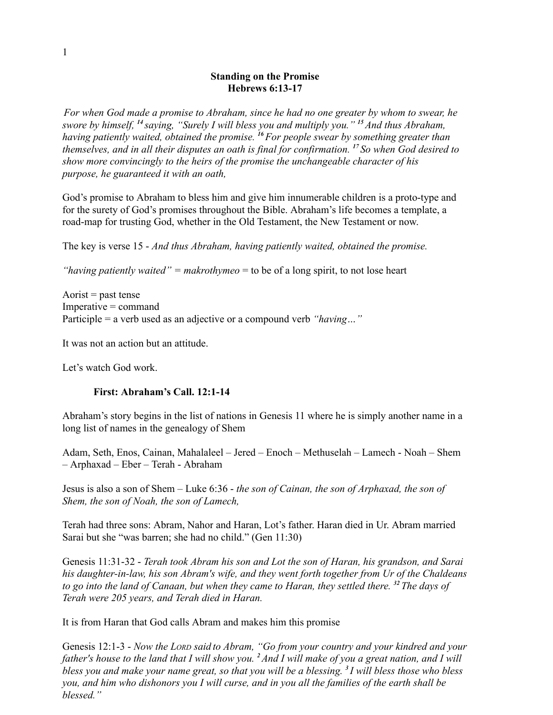#### **Standing on the Promise Hebrews 6:13-17**

*For when God made a promise to Abraham, since he had no one greater by whom to swear, he swore by himself, <sup>14</sup>saying, "Surely I will bless you and multiply you." <sup>15</sup>And thus Abraham, having patiently waited, obtained the promise. <sup>16</sup>For people swear by something greater than themselves, and in all their disputes an oath is final for confirmation. <sup>17</sup>So when God desired to show more convincingly to the heirs of the promise the unchangeable character of his purpose, he guaranteed it with an oath,*

God's promise to Abraham to bless him and give him innumerable children is a proto-type and for the surety of God's promises throughout the Bible. Abraham's life becomes a template, a road-map for trusting God, whether in the Old Testament, the New Testament or now.

The key is verse 15 - *And thus Abraham, having patiently waited, obtained the promise.*

*"having patiently waited" = makrothymeo* = to be of a long spirit, to not lose heart

Aorist  $=$  past tense Imperative = command Participle = a verb used as an adjective or a compound verb *"having…"*

It was not an action but an attitude.

Let's watch God work.

### **First: Abraham's Call. 12:1-14**

Abraham's story begins in the list of nations in Genesis 11 where he is simply another name in a long list of names in the genealogy of Shem

Adam, Seth, Enos, Cainan, Mahalaleel – Jered – Enoch – Methuselah – Lamech - Noah – Shem – Arphaxad – Eber – Terah - Abraham

Jesus is also a son of Shem – Luke 6:36 - *the son of Cainan, the son of Arphaxad, the son of Shem, the son of Noah, the son of Lamech,*

Terah had three sons: Abram, Nahor and Haran, Lot's father. Haran died in Ur. Abram married Sarai but she "was barren; she had no child." (Gen 11:30)

Genesis 11:31-32 - *Terah took Abram his son and Lot the son of Haran, his grandson, and Sarai his daughter-in-law, his son Abram's wife, and they went forth together from Ur of the Chaldeans to go into the land of Canaan, but when they came to Haran, they settled there. <sup>32</sup>The days of Terah were 205 years, and Terah died in Haran.*

It is from Haran that God calls Abram and makes him this promise

Genesis 12:1-3 - *Now the LORD said to Abram, "Go from your country and your kindred and your father's house to the land that I will show you. <sup>2</sup>And I will make of you a great nation, and I will bless you and make your name great, so that you will be a blessing. <sup>3</sup>I will bless those who bless you, and him who dishonors you I will curse, and in you all the families of the earth shall be blessed."*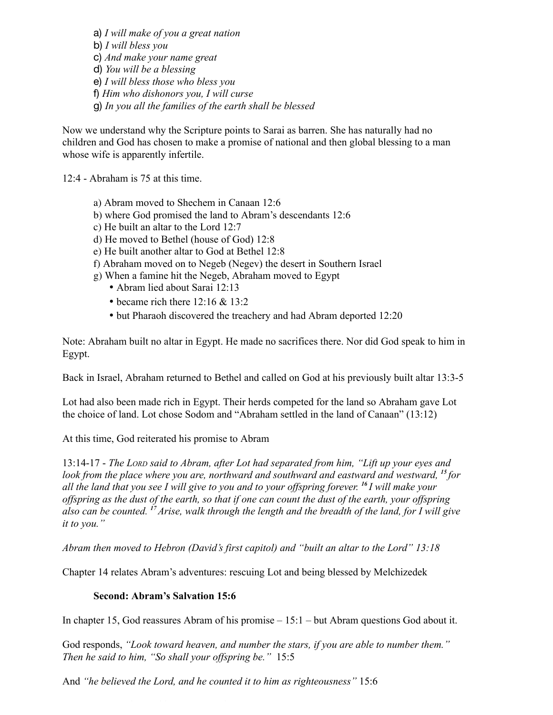a) *I will make of you a great nation* b) *I will bless you* c) *And make your name great* d) *You will be a blessing* e) *I will bless those who bless you* f) *Him who dishonors you, I will curse* g) *In you all the families of the earth shall be blessed*

Now we understand why the Scripture points to Sarai as barren. She has naturally had no children and God has chosen to make a promise of national and then global blessing to a man whose wife is apparently infertile.

12:4 - Abraham is 75 at this time.

- a) Abram moved to Shechem in Canaan 12:6
- b) where God promised the land to Abram's descendants 12:6
- c) He built an altar to the Lord 12:7
- d) He moved to Bethel (house of God) 12:8
- e) He built another altar to God at Bethel 12:8
- f) Abraham moved on to Negeb (Negev) the desert in Southern Israel
- g) When a famine hit the Negeb, Abraham moved to Egypt
	- Abram lied about Sarai 12:13
	- became rich there 12:16 & 13:2
	- but Pharaoh discovered the treachery and had Abram deported 12:20

Note: Abraham built no altar in Egypt. He made no sacrifices there. Nor did God speak to him in Egypt.

Back in Israel, Abraham returned to Bethel and called on God at his previously built altar 13:3-5

Lot had also been made rich in Egypt. Their herds competed for the land so Abraham gave Lot the choice of land. Lot chose Sodom and "Abraham settled in the land of Canaan" (13:12)

At this time, God reiterated his promise to Abram

13:14-17 - *The LORD said to Abram, after Lot had separated from him, "Lift up your eyes and look from the place where you are, northward and southward and eastward and westward, <sup>15</sup>for all the land that you see I will give to you and to your offspring forever. <sup>16</sup>I will make your offspring as the dust of the earth, so that if one can count the dust of the earth, your offspring also can be counted. <sup>17</sup>Arise, walk through the length and the breadth of the land, for I will give it to you."*

*Abram then moved to Hebron (David's first capitol) and "built an altar to the Lord" 13:18*

Chapter 14 relates Abram's adventures: rescuing Lot and being blessed by Melchizedek

#### **Second: Abram's Salvation 15:6**

In chapter 15, God reassures Abram of his promise – 15:1 – but Abram questions God about it.

God responds, *"Look toward heaven, and number the stars, if you are able to number them." Then he said to him, "So shall your offspring be."* 15:5

And *"he believed the Lord, and he counted it to him as righteousness"* 15:6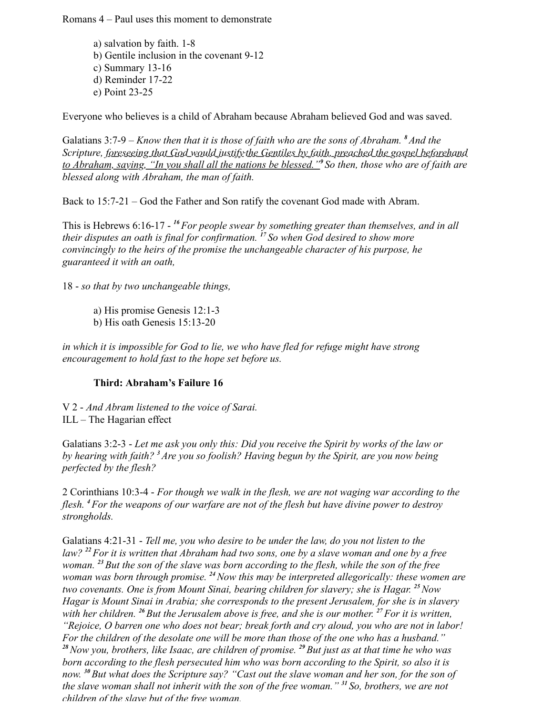Romans 4 – Paul uses this moment to demonstrate

a) salvation by faith. 1-8 b) Gentile inclusion in the covenant 9-12 c) Summary 13-16 d) Reminder 17-22 e) Point 23-25

Everyone who believes is a child of Abraham because Abraham believed God and was saved.

Galatians 3:7-9 – *Know then that it is those of faith who are the sons of Abraham. <sup>8</sup>And the Scripture, foreseeing that God would justify the Gentiles by faith, preached the gospel beforehand to Abraham, saying, "In you shall all the nations be blessed."<sup>9</sup>So then, those who are of faith are blessed along with Abraham, the man of faith.*

Back to 15:7-21 – God the Father and Son ratify the covenant God made with Abram.

This is Hebrews 6:16-17 - *<sup>16</sup>For people swear by something greater than themselves, and in all their disputes an oath is final for confirmation. <sup>17</sup>So when God desired to show more convincingly to the heirs of the promise the unchangeable character of his purpose, he guaranteed it with an oath,*

18 - *so that by two unchangeable things,*

- a) His promise Genesis 12:1-3
- b) His oath Genesis 15:13-20

*in which it is impossible for God to lie, we who have fled for refuge might have strong encouragement to hold fast to the hope set before us.*

#### **Third: Abraham's Failure 16**

V 2 - *And Abram listened to the voice of Sarai.* ILL – The Hagarian effect

Galatians 3:2-3 - *Let me ask you only this: Did you receive the Spirit by works of the law or by hearing with faith? <sup>3</sup>Are you so foolish? Having begun by the Spirit, are you now being perfected by the flesh?*

2 Corinthians 10:3-4 - *For though we walk in the flesh, we are not waging war according to the flesh. <sup>4</sup>For the weapons of our warfare are not of the flesh but have divine power to destroy strongholds.*

Galatians 4:21-31 - *Tell me, you who desire to be under the law, do you not listen to the law? <sup>22</sup>For it is written that Abraham had two sons, one by a slave woman and one by a free woman. <sup>23</sup>But the son of the slave was born according to the flesh, while the son of the free woman was born through promise. <sup>24</sup>Now this may be interpreted allegorically: these women are two covenants. One is from Mount Sinai, bearing children for slavery; she is Hagar. <sup>25</sup>Now Hagar is Mount Sinai in Arabia; she corresponds to the present Jerusalem, for she is in slavery with her children. <sup>26</sup>But the Jerusalem above is free, and she is our mother. <sup>27</sup>For it is written, "Rejoice, O barren one who does not bear; break forth and cry aloud, you who are not in labor! For the children of the desolate one will be more than those of the one who has a husband." <sup>28</sup>Now you, brothers, like Isaac, are children of promise. <sup>29</sup>But just as at that time he who was born according to the flesh persecuted him who was born according to the Spirit, so also it is now. <sup>30</sup>But what does the Scripture say? "Cast out the slave woman and her son, for the son of the slave woman shall not inherit with the son of the free woman." <sup>31</sup>So, brothers, we are not children of the slave but of the free woman.*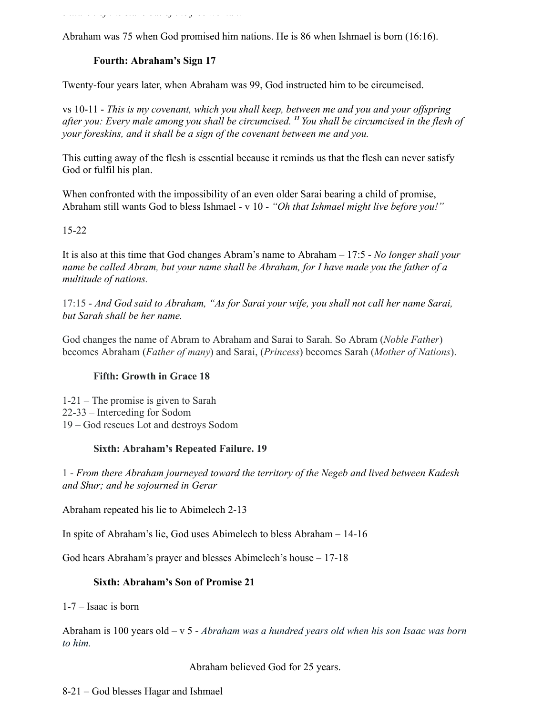*children of the slave but of the free woman.*

Abraham was 75 when God promised him nations. He is 86 when Ishmael is born (16:16).

# **Fourth: Abraham's Sign 17**

Twenty-four years later, when Abraham was 99, God instructed him to be circumcised.

vs 10-11 - *This is my covenant, which you shall keep, between me and you and your offspring after you: Every male among you shall be circumcised. <sup>11</sup>You shall be circumcised in the flesh of your foreskins, and it shall be a sign of the covenant between me and you.*

This cutting away of the flesh is essential because it reminds us that the flesh can never satisfy God or fulfil his plan.

When confronted with the impossibility of an even older Sarai bearing a child of promise, Abraham still wants God to bless Ishmael - v 10 - *"Oh that Ishmael might live before you!"* 

# 15-22

It is also at this time that God changes Abram's name to Abraham – 17:5 - *No longer shall your name be called Abram, but your name shall be Abraham, for I have made you the father of a multitude of nations.*

17:15 - *And God said to Abraham, "As for Sarai your wife, you shall not call her name Sarai, but Sarah shall be her name.*

God changes the name of Abram to Abraham and Sarai to Sarah. So Abram (*Noble Father*) becomes Abraham (*Father of many*) and Sarai, (*Princess*) becomes Sarah (*Mother of Nations*).

# **Fifth: Growth in Grace 18**

1-21 – The promise is given to Sarah 22-33 – Interceding for Sodom 19 – God rescues Lot and destroys Sodom

### **Sixth: Abraham's Repeated Failure. 19**

1 - *From there Abraham journeyed toward the territory of the Negeb and lived between Kadesh and Shur; and he sojourned in Gerar*

Abraham repeated his lie to Abimelech 2-13

In spite of Abraham's lie, God uses Abimelech to bless Abraham – 14-16

God hears Abraham's prayer and blesses Abimelech's house – 17-18

### **Sixth: Abraham's Son of Promise 21**

1-7 – Isaac is born

Abraham is 100 years old – v 5 - *Abraham was a hundred years old when his son Isaac was born to him.*

Abraham believed God for 25 years.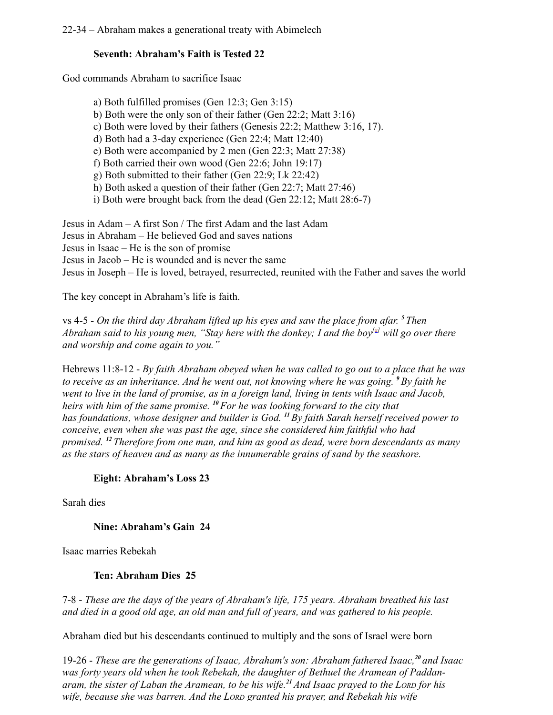22-34 – Abraham makes a generational treaty with Abimelech

# **Seventh: Abraham's Faith is Tested 22**

God commands Abraham to sacrifice Isaac

a) Both fulfilled promises (Gen 12:3; Gen 3:15) b) Both were the only son of their father (Gen 22:2; Matt 3:16) c) Both were loved by their fathers (Genesis 22:2; Matthew 3:16, 17). d) Both had a 3-day experience (Gen 22:4; Matt 12:40) e) Both were accompanied by 2 men (Gen 22:3; Matt 27:38) f) Both carried their own wood (Gen 22:6; John 19:17) g) Both submitted to their father (Gen 22:9; Lk 22:42) h) Both asked a question of their father (Gen 22:7; Matt 27:46) i) Both were brought back from the dead (Gen 22:12; Matt 28:6-7)

Jesus in Adam – A first Son / The first Adam and the last Adam Jesus in Abraham – He believed God and saves nations Jesus in Isaac – He is the son of promise Jesus in Jacob – He is wounded and is never the same Jesus in Joseph – He is loved, betrayed, resurrected, reunited with the Father and saves the world

The key concept in Abraham's life is faith.

vs 4-5 - *On the third day Abraham lifted up his eyes and saw the place from afar. <sup>5</sup>Then Abraham said to his young men, "Stay here with the donkey; I and the boy[a] will go over there and worship and come again to you."*

Hebrews 11:8-12 - *By faith Abraham obeyed when he was called to go out to a place that he was to receive as an inheritance. And he went out, not knowing where he was going. <sup>9</sup>By faith he went to live in the land of promise, as in a foreign land, living in tents with Isaac and Jacob, heirs with him of the same promise. <sup>10</sup>For he was looking forward to the city that has foundations, whose designer and builder is God. <sup>11</sup>By faith Sarah herself received power to conceive, even when she was past the age, since she considered him faithful who had promised. <sup>12</sup>Therefore from one man, and him as good as dead, were born descendants as many as the stars of heaven and as many as the innumerable grains of sand by the seashore.*

### **Eight: Abraham's Loss 23**

Sarah dies

**Nine: Abraham's Gain 24**

Isaac marries Rebekah

### **Ten: Abraham Dies 25**

7-8 - *These are the days of the years of Abraham's life, 175 years. Abraham breathed his last and died in a good old age, an old man and full of years, and was gathered to his people.* 

Abraham died but his descendants continued to multiply and the sons of Israel were born

19-26 - *These are the generations of Isaac, Abraham's son: Abraham fathered Isaac,<sup>20</sup>and Isaac was forty years old when he took Rebekah, the daughter of Bethuel the Aramean of Paddanaram, the sister of Laban the Aramean, to be his wife.<sup>21</sup>And Isaac prayed to the LORD for his wife, because she was barren. And the LORD granted his prayer, and Rebekah his wife*